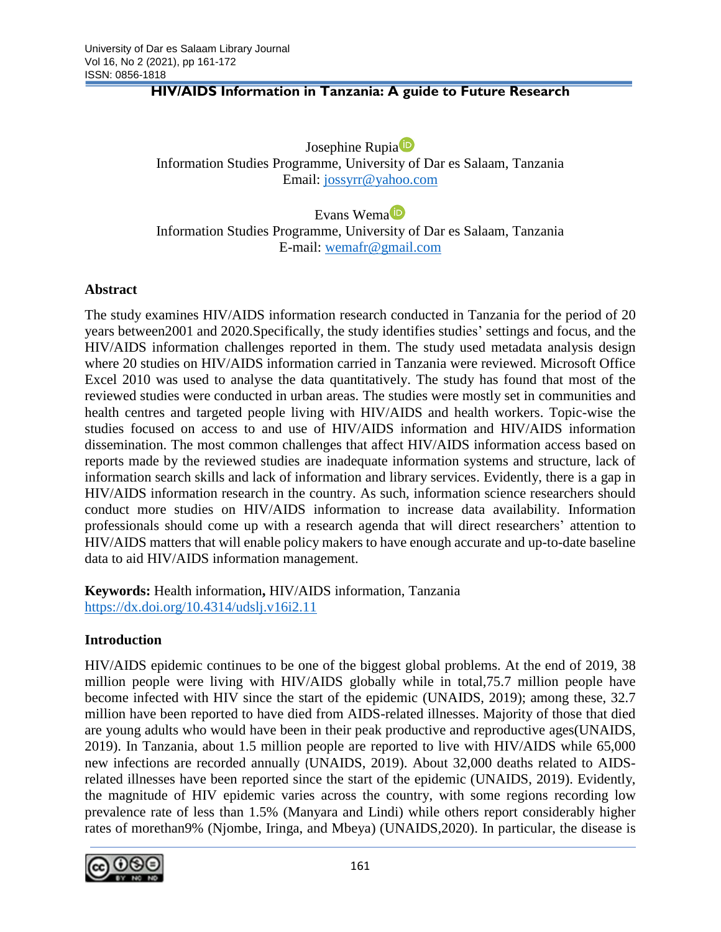### **HIV/AIDS Information in Tanzania: A guide to Future Research**

Josephine Rupia<sup>t<sub>D</sub></sup> Information Studies Programme, University of Dar es Salaam, Tanzania Email: [jossyrr@yahoo.com](mailto:jossyrr@yahoo.com)

Evans Wema Information Studies Programme, University of Dar es Salaam, Tanzania E-mail: [wemafr@gmail.com](mailto:wemafr@gmail.com)

### **Abstract**

The study examines HIV/AIDS information research conducted in Tanzania for the period of 20 years between2001 and 2020.Specifically, the study identifies studies' settings and focus, and the HIV/AIDS information challenges reported in them. The study used metadata analysis design where 20 studies on HIV/AIDS information carried in Tanzania were reviewed. Microsoft Office Excel 2010 was used to analyse the data quantitatively. The study has found that most of the reviewed studies were conducted in urban areas. The studies were mostly set in communities and health centres and targeted people living with HIV/AIDS and health workers. Topic-wise the studies focused on access to and use of HIV/AIDS information and HIV/AIDS information dissemination. The most common challenges that affect HIV/AIDS information access based on reports made by the reviewed studies are inadequate information systems and structure, lack of information search skills and lack of information and library services. Evidently, there is a gap in HIV/AIDS information research in the country. As such, information science researchers should conduct more studies on HIV/AIDS information to increase data availability. Information professionals should come up with a research agenda that will direct researchers' attention to HIV/AIDS matters that will enable policy makers to have enough accurate and up-to-date baseline data to aid HIV/AIDS information management.

**Keywords:** Health information**,** HIV/AIDS information, Tanzania <https://dx.doi.org/10.4314/udslj.v16i2.11>

### **Introduction**

HIV/AIDS epidemic continues to be one of the biggest global problems. At the end of 2019, 38 million people were living with HIV/AIDS globally while in total,75.7 million people have become infected with HIV since the start of the epidemic (UNAIDS, 2019); among these, 32.7 million have been reported to have died from AIDS-related illnesses. Majority of those that died are young adults who would have been in their peak productive and reproductive ages(UNAIDS, 2019). In Tanzania, about 1.5 million people are reported to live with HIV/AIDS while 65,000 new infections are recorded annually (UNAIDS, 2019). About 32,000 deaths related to AIDSrelated illnesses have been reported since the start of the epidemic (UNAIDS, 2019). Evidently, the magnitude of HIV epidemic varies across the country, with some regions recording low prevalence rate of less than 1.5% (Manyara and Lindi) while others report considerably higher rates of morethan9% (Njombe, Iringa, and Mbeya) (UNAIDS,2020). In particular, the disease is

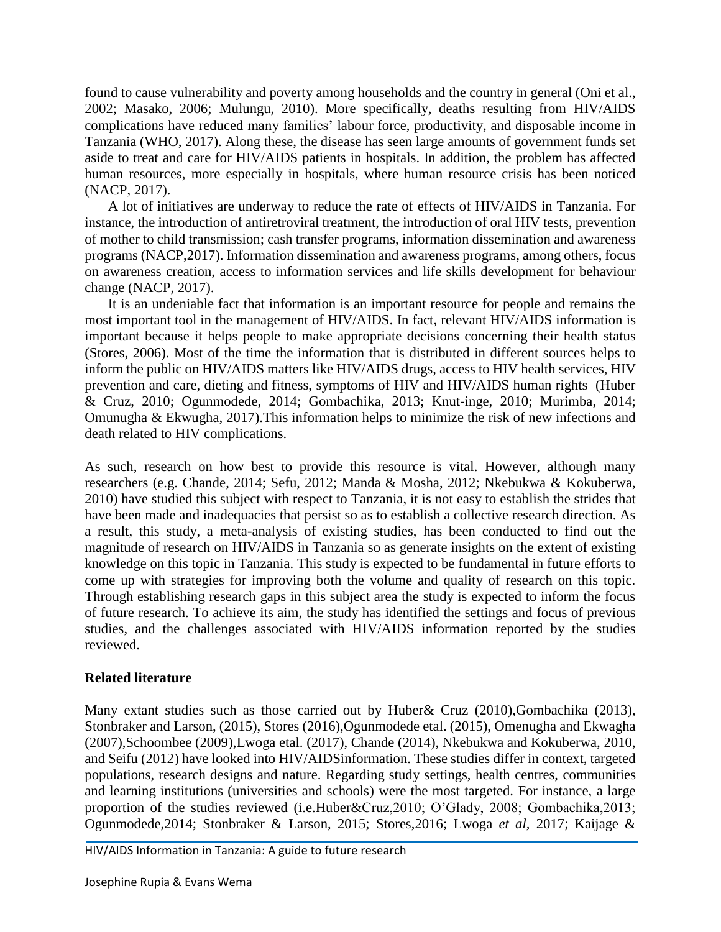found to cause vulnerability and poverty among households and the country in general (Oni et al., 2002; Masako, 2006; Mulungu, 2010). More specifically, deaths resulting from HIV/AIDS complications have reduced many families' labour force, productivity, and disposable income in Tanzania (WHO, 2017). Along these, the disease has seen large amounts of government funds set aside to treat and care for HIV/AIDS patients in hospitals. In addition, the problem has affected human resources, more especially in hospitals, where human resource crisis has been noticed (NACP, 2017).

A lot of initiatives are underway to reduce the rate of effects of HIV/AIDS in Tanzania. For instance, the introduction of antiretroviral treatment, the introduction of oral HIV tests, prevention of mother to child transmission; cash transfer programs, information dissemination and awareness programs (NACP,2017). Information dissemination and awareness programs, among others, focus on awareness creation, access to information services and life skills development for behaviour change (NACP, 2017).

It is an undeniable fact that information is an important resource for people and remains the most important tool in the management of HIV/AIDS. In fact, relevant HIV/AIDS information is important because it helps people to make appropriate decisions concerning their health status (Stores, 2006). Most of the time the information that is distributed in different sources helps to inform the public on HIV/AIDS matters like HIV/AIDS drugs, access to HIV health services, HIV prevention and care, dieting and fitness, symptoms of HIV and HIV/AIDS human rights (Huber & Cruz, 2010; Ogunmodede, 2014; Gombachika, 2013; Knut-inge, 2010; Murimba, 2014; Omunugha & Ekwugha, 2017).This information helps to minimize the risk of new infections and death related to HIV complications.

As such, research on how best to provide this resource is vital. However, although many researchers (e.g. Chande, 2014; Sefu, 2012; Manda & Mosha, 2012; Nkebukwa & Kokuberwa, 2010) have studied this subject with respect to Tanzania, it is not easy to establish the strides that have been made and inadequacies that persist so as to establish a collective research direction. As a result, this study, a meta-analysis of existing studies, has been conducted to find out the magnitude of research on HIV/AIDS in Tanzania so as generate insights on the extent of existing knowledge on this topic in Tanzania. This study is expected to be fundamental in future efforts to come up with strategies for improving both the volume and quality of research on this topic. Through establishing research gaps in this subject area the study is expected to inform the focus of future research. To achieve its aim, the study has identified the settings and focus of previous studies, and the challenges associated with HIV/AIDS information reported by the studies reviewed.

### **Related literature**

Many extant studies such as those carried out by Huber& Cruz (2010),Gombachika (2013), Stonbraker and Larson, (2015), Stores (2016),Ogunmodede etal. (2015), Omenugha and Ekwagha (2007),Schoombee (2009),Lwoga etal. (2017), Chande (2014), Nkebukwa and Kokuberwa, 2010, and Seifu (2012) have looked into HIV/AIDSinformation. These studies differ in context, targeted populations, research designs and nature. Regarding study settings, health centres, communities and learning institutions (universities and schools) were the most targeted. For instance, a large proportion of the studies reviewed (i.e.Huber&Cruz,2010; O'Glady, 2008; Gombachika,2013; Ogunmodede,2014; Stonbraker & Larson, 2015; Stores,2016; Lwoga *et al,* 2017; Kaijage &

HIV/AIDS Information in Tanzania: A guide to future research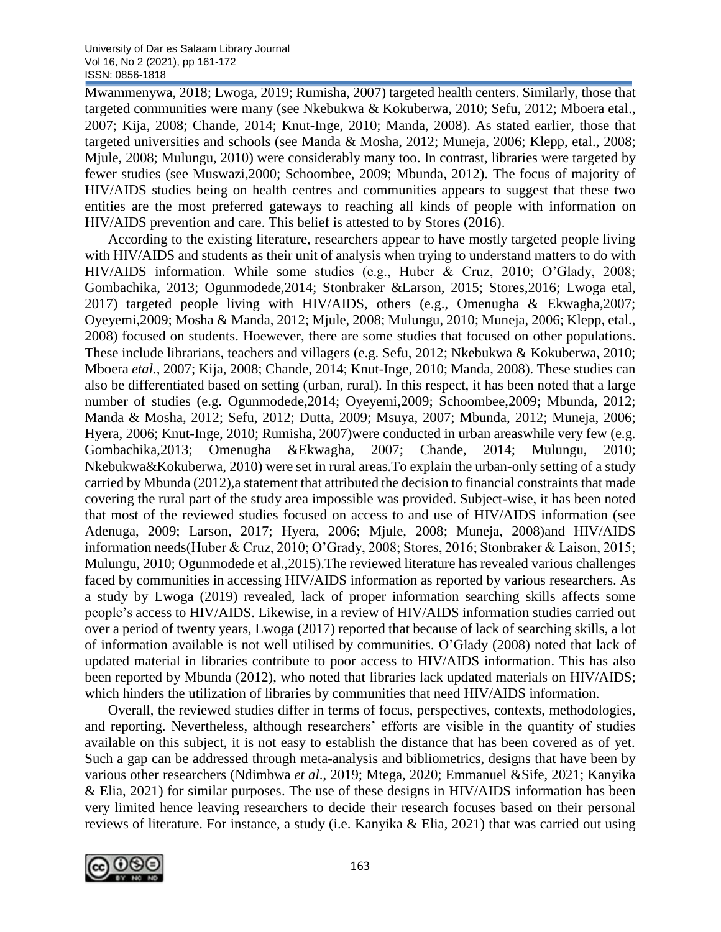Mwammenywa, 2018; Lwoga, 2019; Rumisha, 2007) targeted health centers. Similarly, those that targeted communities were many (see Nkebukwa & Kokuberwa, 2010; Sefu, 2012; Mboera etal., 2007; Kija, 2008; Chande, 2014; Knut-Inge, 2010; Manda, 2008). As stated earlier, those that targeted universities and schools (see Manda & Mosha, 2012; Muneja, 2006; Klepp, etal., 2008; Mjule, 2008; Mulungu, 2010) were considerably many too. In contrast, libraries were targeted by fewer studies (see Muswazi,2000; Schoombee, 2009; Mbunda, 2012). The focus of majority of HIV/AIDS studies being on health centres and communities appears to suggest that these two entities are the most preferred gateways to reaching all kinds of people with information on HIV/AIDS prevention and care. This belief is attested to by Stores (2016).

According to the existing literature, researchers appear to have mostly targeted people living with HIV/AIDS and students as their unit of analysis when trying to understand matters to do with HIV/AIDS information. While some studies (e.g., Huber & Cruz, 2010; O'Glady, 2008; Gombachika, 2013; Ogunmodede,2014; Stonbraker &Larson, 2015; Stores,2016; Lwoga etal, 2017) targeted people living with HIV/AIDS, others (e.g., Omenugha & Ekwagha,2007; Oyeyemi,2009; Mosha & Manda, 2012; Mjule, 2008; Mulungu, 2010; Muneja, 2006; Klepp, etal., 2008) focused on students. Hoewever, there are some studies that focused on other populations. These include librarians, teachers and villagers (e.g. Sefu, 2012; Nkebukwa & Kokuberwa, 2010; Mboera *etal.,* 2007; Kija, 2008; Chande, 2014; Knut-Inge, 2010; Manda, 2008). These studies can also be differentiated based on setting (urban, rural). In this respect, it has been noted that a large number of studies (e.g. Ogunmodede,2014; Oyeyemi,2009; Schoombee,2009; Mbunda, 2012; Manda & Mosha, 2012; Sefu, 2012; Dutta, 2009; Msuya, 2007; Mbunda, 2012; Muneja, 2006; Hyera, 2006; Knut-Inge, 2010; Rumisha, 2007)were conducted in urban areaswhile very few (e.g. Gombachika,2013; Omenugha &Ekwagha, 2007; Chande, 2014; Mulungu, 2010; Nkebukwa&Kokuberwa, 2010) were set in rural areas.To explain the urban-only setting of a study carried by Mbunda (2012),a statement that attributed the decision to financial constraints that made covering the rural part of the study area impossible was provided. Subject-wise, it has been noted that most of the reviewed studies focused on access to and use of HIV/AIDS information (see Adenuga, 2009; Larson, 2017; Hyera, 2006; Mjule, 2008; Muneja, 2008)and HIV/AIDS information needs(Huber & Cruz, 2010; O'Grady, 2008; Stores, 2016; Stonbraker & Laison, 2015; Mulungu, 2010; Ogunmodede et al.,2015).The reviewed literature has revealed various challenges faced by communities in accessing HIV/AIDS information as reported by various researchers. As a study by Lwoga (2019) revealed, lack of proper information searching skills affects some people's access to HIV/AIDS. Likewise, in a review of HIV/AIDS information studies carried out over a period of twenty years, Lwoga (2017) reported that because of lack of searching skills, a lot of information available is not well utilised by communities. O'Glady (2008) noted that lack of updated material in libraries contribute to poor access to HIV/AIDS information. This has also been reported by Mbunda (2012), who noted that libraries lack updated materials on HIV/AIDS; which hinders the utilization of libraries by communities that need HIV/AIDS information.

Overall, the reviewed studies differ in terms of focus, perspectives, contexts, methodologies, and reporting. Nevertheless, although researchers' efforts are visible in the quantity of studies available on this subject, it is not easy to establish the distance that has been covered as of yet. Such a gap can be addressed through meta-analysis and bibliometrics, designs that have been by various other researchers (Ndimbwa *et al*., 2019; Mtega, 2020; Emmanuel &Sife, 2021; Kanyika & Elia, 2021) for similar purposes. The use of these designs in HIV/AIDS information has been very limited hence leaving researchers to decide their research focuses based on their personal reviews of literature. For instance, a study (i.e. Kanyika  $\&$  Elia, 2021) that was carried out using

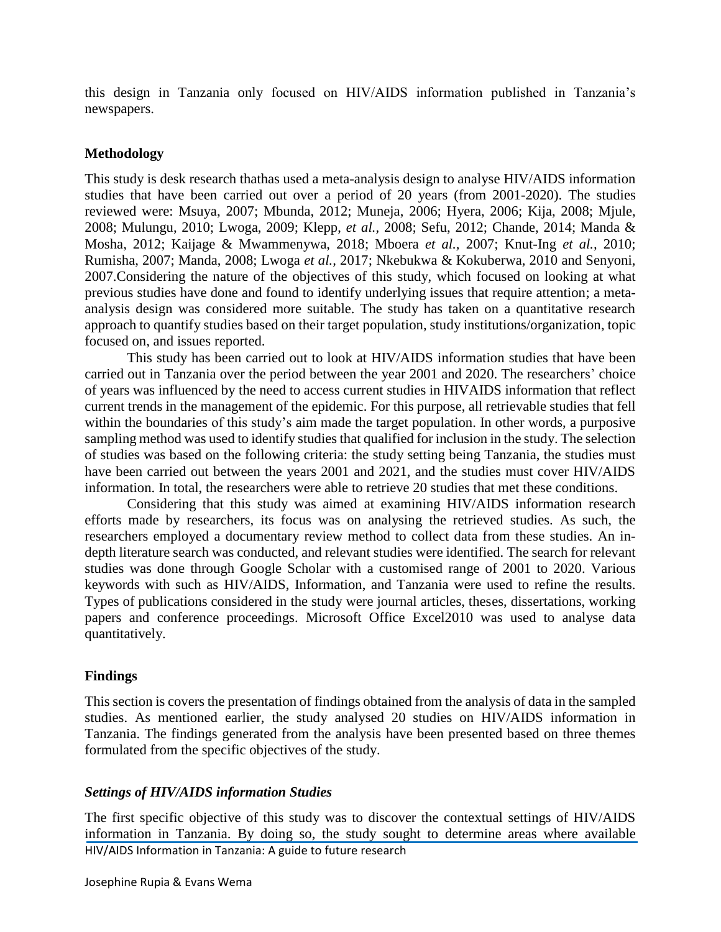this design in Tanzania only focused on HIV/AIDS information published in Tanzania's newspapers.

### **Methodology**

This study is desk research thathas used a meta-analysis design to analyse HIV/AIDS information studies that have been carried out over a period of 20 years (from 2001-2020). The studies reviewed were: Msuya, 2007; Mbunda, 2012; Muneja, 2006; Hyera, 2006; Kija, 2008; Mjule, 2008; Mulungu, 2010; Lwoga, 2009; Klepp, *et al.,* 2008; Sefu, 2012; Chande, 2014; Manda & Mosha, 2012; Kaijage & Mwammenywa, 2018; Mboera *et al.,* 2007; Knut-Ing *et al.,* 2010; Rumisha, 2007; Manda, 2008; Lwoga *et al.,* 2017; Nkebukwa & Kokuberwa, 2010 and Senyoni, 2007.Considering the nature of the objectives of this study, which focused on looking at what previous studies have done and found to identify underlying issues that require attention; a metaanalysis design was considered more suitable. The study has taken on a quantitative research approach to quantify studies based on their target population, study institutions/organization, topic focused on, and issues reported.

This study has been carried out to look at HIV/AIDS information studies that have been carried out in Tanzania over the period between the year 2001 and 2020. The researchers' choice of years was influenced by the need to access current studies in HIVAIDS information that reflect current trends in the management of the epidemic. For this purpose, all retrievable studies that fell within the boundaries of this study's aim made the target population. In other words, a purposive sampling method was used to identify studies that qualified for inclusion in the study. The selection of studies was based on the following criteria: the study setting being Tanzania, the studies must have been carried out between the years 2001 and 2021, and the studies must cover HIV/AIDS information. In total, the researchers were able to retrieve 20 studies that met these conditions.

Considering that this study was aimed at examining HIV/AIDS information research efforts made by researchers, its focus was on analysing the retrieved studies. As such, the researchers employed a documentary review method to collect data from these studies. An indepth literature search was conducted, and relevant studies were identified. The search for relevant studies was done through Google Scholar with a customised range of 2001 to 2020. Various keywords with such as HIV/AIDS, Information, and Tanzania were used to refine the results. Types of publications considered in the study were journal articles, theses, dissertations, working papers and conference proceedings. Microsoft Office Excel2010 was used to analyse data quantitatively.

### **Findings**

This section is covers the presentation of findings obtained from the analysis of data in the sampled studies. As mentioned earlier, the study analysed 20 studies on HIV/AIDS information in Tanzania. The findings generated from the analysis have been presented based on three themes formulated from the specific objectives of the study.

### *Settings of HIV/AIDS information Studies*

HIV/AIDS Information in Tanzania: A guide to future research The first specific objective of this study was to discover the contextual settings of HIV/AIDS information in Tanzania. By doing so, the study sought to determine areas where available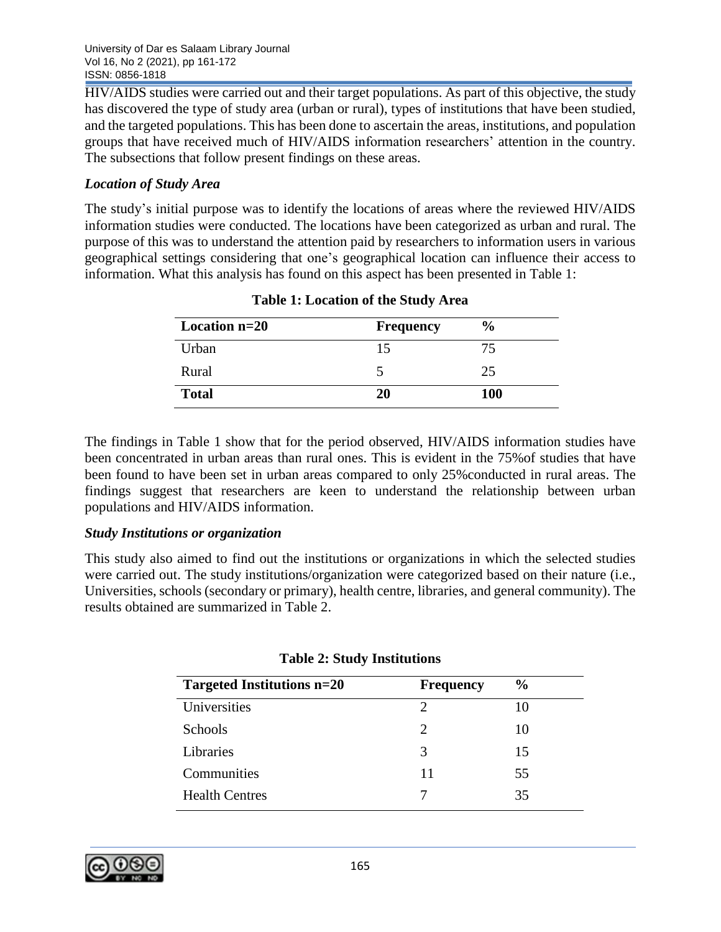HIV/AIDS studies were carried out and their target populations. As part of this objective, the study has discovered the type of study area (urban or rural), types of institutions that have been studied, and the targeted populations. This has been done to ascertain the areas, institutions, and population groups that have received much of HIV/AIDS information researchers' attention in the country. The subsections that follow present findings on these areas.

# *Location of Study Area*

The study's initial purpose was to identify the locations of areas where the reviewed HIV/AIDS information studies were conducted. The locations have been categorized as urban and rural. The purpose of this was to understand the attention paid by researchers to information users in various geographical settings considering that one's geographical location can influence their access to information. What this analysis has found on this aspect has been presented in Table 1:

| Location $n=20$ | <b>Frequency</b> | $\frac{6}{9}$ |
|-----------------|------------------|---------------|
| Urban           |                  | 75            |
| Rural           |                  | 25            |
| <b>Total</b>    | 20               | <b>100</b>    |

|  | <b>Table 1: Location of the Study Area</b> |  |  |  |
|--|--------------------------------------------|--|--|--|
|--|--------------------------------------------|--|--|--|

The findings in Table 1 show that for the period observed, HIV/AIDS information studies have been concentrated in urban areas than rural ones. This is evident in the 75%of studies that have been found to have been set in urban areas compared to only 25%conducted in rural areas. The findings suggest that researchers are keen to understand the relationship between urban populations and HIV/AIDS information.

### *Study Institutions or organization*

This study also aimed to find out the institutions or organizations in which the selected studies were carried out. The study institutions/organization were categorized based on their nature (i.e., Universities, schools (secondary or primary), health centre, libraries, and general community). The results obtained are summarized in Table 2.

| Targeted Institutions n=20 | <b>Frequency</b>            | $\frac{6}{6}$ |
|----------------------------|-----------------------------|---------------|
| Universities               | っ                           | 10            |
| Schools                    | $\mathcal{D}_{\mathcal{A}}$ | 10            |
| Libraries                  | 3                           | 15            |
| Communities                | 11                          | 55            |
| <b>Health Centres</b>      |                             | 35            |
|                            |                             |               |

### **Table 2: Study Institutions**

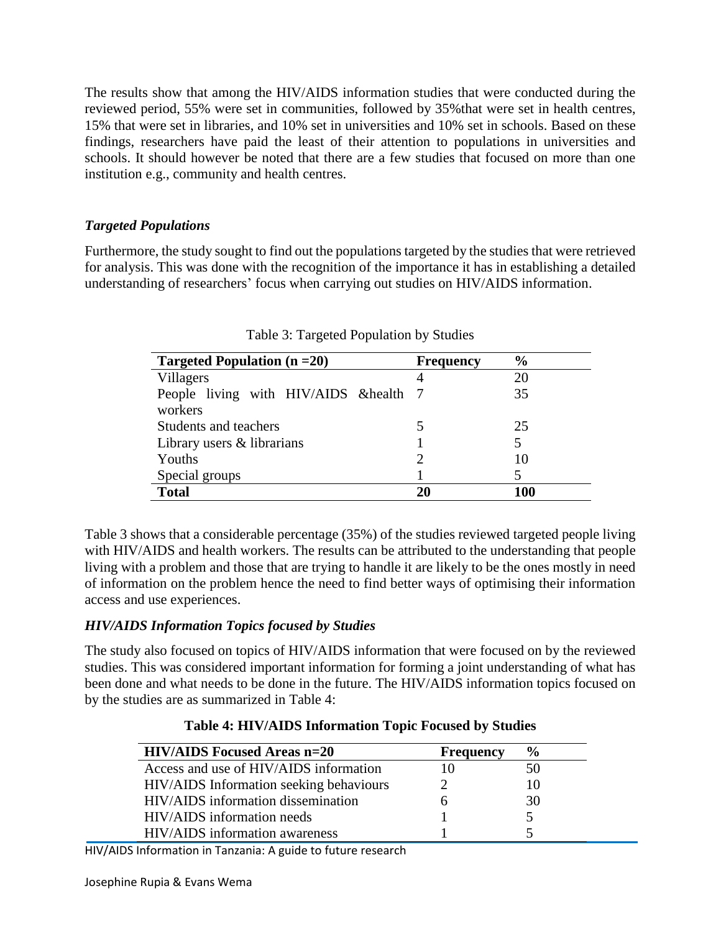The results show that among the HIV/AIDS information studies that were conducted during the reviewed period, 55% were set in communities, followed by 35%that were set in health centres, 15% that were set in libraries, and 10% set in universities and 10% set in schools. Based on these findings, researchers have paid the least of their attention to populations in universities and schools. It should however be noted that there are a few studies that focused on more than one institution e.g., community and health centres.

# *Targeted Populations*

Furthermore, the study sought to find out the populations targeted by the studies that were retrieved for analysis. This was done with the recognition of the importance it has in establishing a detailed understanding of researchers' focus when carrying out studies on HIV/AIDS information.

| Targeted Population $(n=20)$                      | <b>Frequency</b> | $\frac{0}{0}$ |
|---------------------------------------------------|------------------|---------------|
| Villagers                                         | 4                | 20            |
| People living with HIV/AIDS & health 7<br>workers |                  | 35            |
| Students and teachers                             |                  | 25            |
| Library users & librarians                        |                  | 5             |
| Youths                                            |                  | 10            |
| Special groups                                    |                  |               |
| <b>Total</b>                                      | 20               | 100           |

Table 3: Targeted Population by Studies

Table 3 shows that a considerable percentage (35%) of the studies reviewed targeted people living with HIV/AIDS and health workers. The results can be attributed to the understanding that people living with a problem and those that are trying to handle it are likely to be the ones mostly in need of information on the problem hence the need to find better ways of optimising their information access and use experiences.

# *HIV/AIDS Information Topics focused by Studies*

The study also focused on topics of HIV/AIDS information that were focused on by the reviewed studies. This was considered important information for forming a joint understanding of what has been done and what needs to be done in the future. The HIV/AIDS information topics focused on by the studies are as summarized in Table 4:

|  | Table 4: HIV/AIDS Information Topic Focused by Studies |  |  |
|--|--------------------------------------------------------|--|--|
|  |                                                        |  |  |

| <b>HIV/AIDS Focused Areas n=20</b>      | <b>Frequency</b> | $\%$ |
|-----------------------------------------|------------------|------|
| Access and use of HIV/AIDS information  |                  | 50   |
| HIV/AIDS Information seeking behaviours |                  | 10   |
| HIV/AIDS information dissemination      |                  | 30   |
| HIV/AIDS information needs              |                  |      |
| HIV/AIDS information awareness          |                  |      |

HIV/AIDS Information in Tanzania: A guide to future research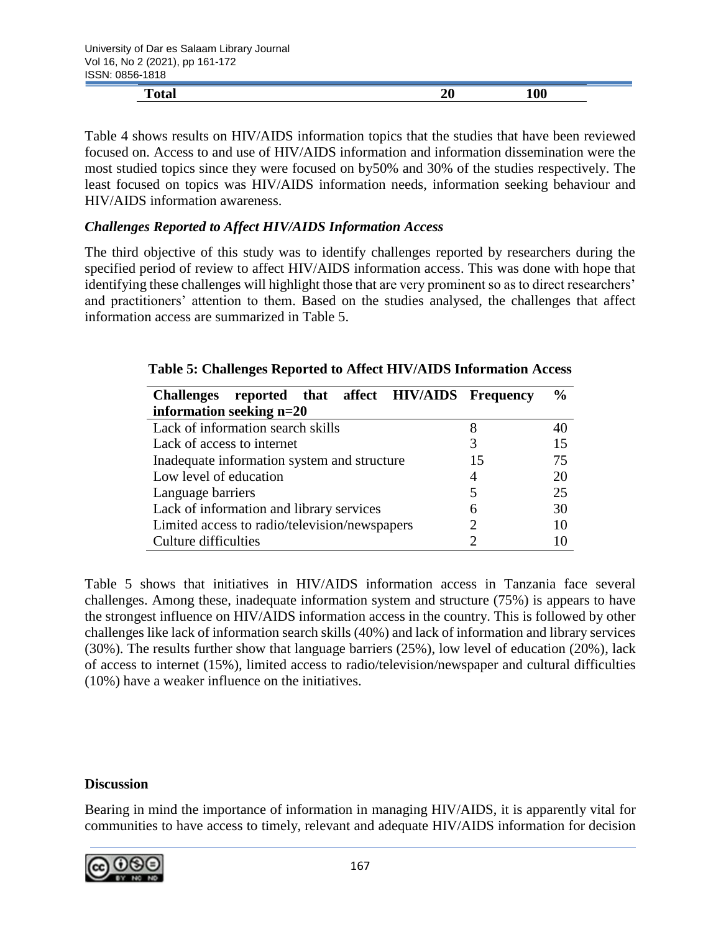| .                    |    |     |
|----------------------|----|-----|
| m<br>- 4 -<br>1 otal | 40 | 100 |
|                      |    |     |

Table 4 shows results on HIV/AIDS information topics that the studies that have been reviewed focused on. Access to and use of HIV/AIDS information and information dissemination were the most studied topics since they were focused on by50% and 30% of the studies respectively. The least focused on topics was HIV/AIDS information needs, information seeking behaviour and HIV/AIDS information awareness.

### *Challenges Reported to Affect HIV/AIDS Information Access*

The third objective of this study was to identify challenges reported by researchers during the specified period of review to affect HIV/AIDS information access. This was done with hope that identifying these challenges will highlight those that are very prominent so as to direct researchers' and practitioners' attention to them. Based on the studies analysed, the challenges that affect information access are summarized in Table 5.

| Challenges reported that affect HIV/AIDS Frequency |    | $\frac{6}{6}$ |
|----------------------------------------------------|----|---------------|
| information seeking $n=20$                         |    |               |
| Lack of information search skills                  | 8  | 40            |
| Lack of access to internet                         |    | 15            |
| Inadequate information system and structure        | 15 | 75            |
| Low level of education                             | 4  | 20            |
| Language barriers                                  |    | 25            |
| Lack of information and library services           | 6  | 30            |
| Limited access to radio/television/newspapers      |    | 10            |
| Culture difficulties                               |    | 10            |

| Table 5: Challenges Reported to Affect HIV/AIDS Information Access |  |
|--------------------------------------------------------------------|--|
|--------------------------------------------------------------------|--|

Table 5 shows that initiatives in HIV/AIDS information access in Tanzania face several challenges. Among these, inadequate information system and structure (75%) is appears to have the strongest influence on HIV/AIDS information access in the country. This is followed by other challenges like lack of information search skills (40%) and lack of information and library services (30%). The results further show that language barriers (25%), low level of education (20%), lack of access to internet (15%), limited access to radio/television/newspaper and cultural difficulties (10%) have a weaker influence on the initiatives.

### **Discussion**

Bearing in mind the importance of information in managing HIV/AIDS, it is apparently vital for communities to have access to timely, relevant and adequate HIV/AIDS information for decision

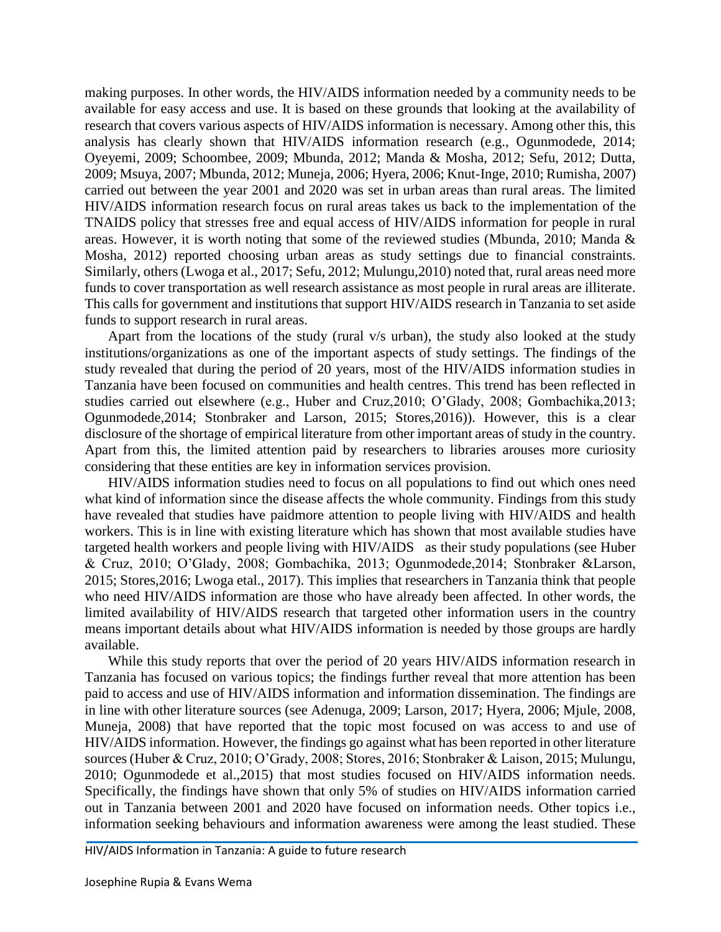making purposes. In other words, the HIV/AIDS information needed by a community needs to be available for easy access and use. It is based on these grounds that looking at the availability of research that covers various aspects of HIV/AIDS information is necessary. Among other this, this analysis has clearly shown that HIV/AIDS information research (e.g., Ogunmodede, 2014; Oyeyemi, 2009; Schoombee, 2009; Mbunda, 2012; Manda & Mosha, 2012; Sefu, 2012; Dutta, 2009; Msuya, 2007; Mbunda, 2012; Muneja, 2006; Hyera, 2006; Knut-Inge, 2010; Rumisha, 2007) carried out between the year 2001 and 2020 was set in urban areas than rural areas. The limited HIV/AIDS information research focus on rural areas takes us back to the implementation of the TNAIDS policy that stresses free and equal access of HIV/AIDS information for people in rural areas. However, it is worth noting that some of the reviewed studies (Mbunda, 2010; Manda & Mosha, 2012) reported choosing urban areas as study settings due to financial constraints. Similarly, others (Lwoga et al., 2017; Sefu, 2012; Mulungu,2010) noted that, rural areas need more funds to cover transportation as well research assistance as most people in rural areas are illiterate. This calls for government and institutions that support HIV/AIDS research in Tanzania to set aside funds to support research in rural areas.

Apart from the locations of the study (rural v/s urban), the study also looked at the study institutions/organizations as one of the important aspects of study settings. The findings of the study revealed that during the period of 20 years, most of the HIV/AIDS information studies in Tanzania have been focused on communities and health centres. This trend has been reflected in studies carried out elsewhere (e.g., Huber and Cruz,2010; O'Glady, 2008; Gombachika,2013; Ogunmodede,2014; Stonbraker and Larson, 2015; Stores,2016)). However, this is a clear disclosure of the shortage of empirical literature from other important areas of study in the country. Apart from this, the limited attention paid by researchers to libraries arouses more curiosity considering that these entities are key in information services provision.

HIV/AIDS information studies need to focus on all populations to find out which ones need what kind of information since the disease affects the whole community. Findings from this study have revealed that studies have paidmore attention to people living with HIV/AIDS and health workers. This is in line with existing literature which has shown that most available studies have targeted health workers and people living with HIV/AIDS as their study populations (see Huber & Cruz, 2010; O'Glady, 2008; Gombachika, 2013; Ogunmodede,2014; Stonbraker &Larson, 2015; Stores,2016; Lwoga etal., 2017). This implies that researchers in Tanzania think that people who need HIV/AIDS information are those who have already been affected. In other words, the limited availability of HIV/AIDS research that targeted other information users in the country means important details about what HIV/AIDS information is needed by those groups are hardly available.

While this study reports that over the period of 20 years HIV/AIDS information research in Tanzania has focused on various topics; the findings further reveal that more attention has been paid to access and use of HIV/AIDS information and information dissemination. The findings are in line with other literature sources (see Adenuga, 2009; Larson, 2017; Hyera, 2006; Mjule, 2008, Muneja, 2008) that have reported that the topic most focused on was access to and use of HIV/AIDS information. However, the findings go against what has been reported in other literature sources (Huber & Cruz, 2010; O'Grady, 2008; Stores, 2016; Stonbraker & Laison, 2015; Mulungu, 2010; Ogunmodede et al.,2015) that most studies focused on HIV/AIDS information needs. Specifically, the findings have shown that only 5% of studies on HIV/AIDS information carried out in Tanzania between 2001 and 2020 have focused on information needs. Other topics i.e., information seeking behaviours and information awareness were among the least studied. These

HIV/AIDS Information in Tanzania: A guide to future research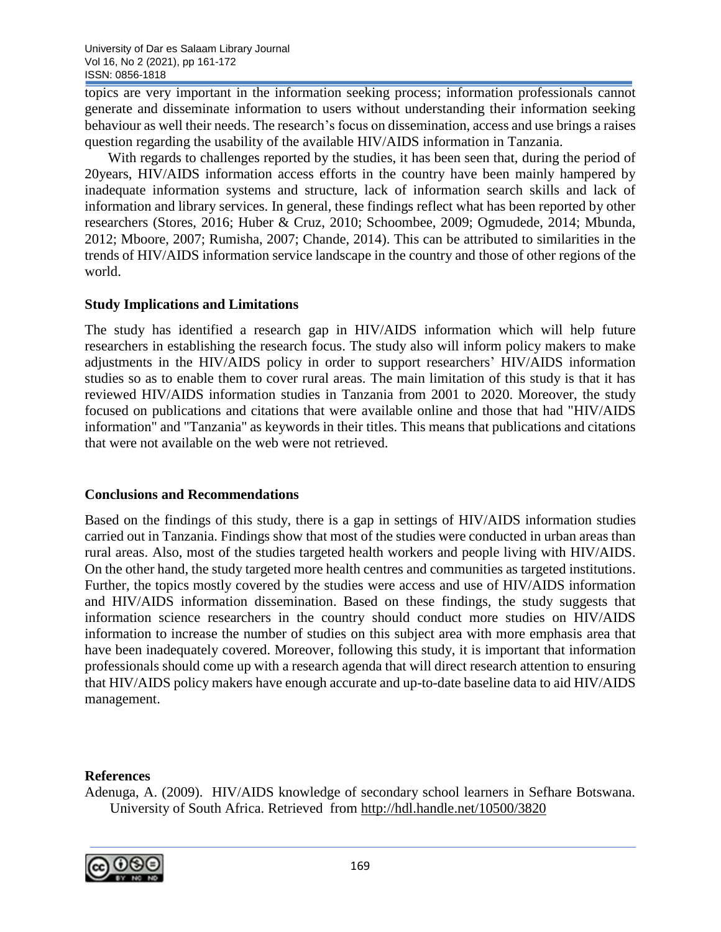topics are very important in the information seeking process; information professionals cannot generate and disseminate information to users without understanding their information seeking behaviour as well their needs. The research's focus on dissemination, access and use brings a raises question regarding the usability of the available HIV/AIDS information in Tanzania.

With regards to challenges reported by the studies, it has been seen that, during the period of 20years, HIV/AIDS information access efforts in the country have been mainly hampered by inadequate information systems and structure, lack of information search skills and lack of information and library services. In general, these findings reflect what has been reported by other researchers (Stores, 2016; Huber & Cruz, 2010; Schoombee, 2009; Ogmudede, 2014; Mbunda, 2012; Mboore, 2007; Rumisha, 2007; Chande, 2014). This can be attributed to similarities in the trends of HIV/AIDS information service landscape in the country and those of other regions of the world.

### **Study Implications and Limitations**

The study has identified a research gap in HIV/AIDS information which will help future researchers in establishing the research focus. The study also will inform policy makers to make adjustments in the HIV/AIDS policy in order to support researchers' HIV/AIDS information studies so as to enable them to cover rural areas. The main limitation of this study is that it has reviewed HIV/AIDS information studies in Tanzania from 2001 to 2020. Moreover, the study focused on publications and citations that were available online and those that had "HIV/AIDS information" and "Tanzania" as keywords in their titles. This means that publications and citations that were not available on the web were not retrieved.

### **Conclusions and Recommendations**

Based on the findings of this study, there is a gap in settings of HIV/AIDS information studies carried out in Tanzania. Findings show that most of the studies were conducted in urban areas than rural areas. Also, most of the studies targeted health workers and people living with HIV/AIDS. On the other hand, the study targeted more health centres and communities as targeted institutions. Further, the topics mostly covered by the studies were access and use of HIV/AIDS information and HIV/AIDS information dissemination. Based on these findings, the study suggests that information science researchers in the country should conduct more studies on HIV/AIDS information to increase the number of studies on this subject area with more emphasis area that have been inadequately covered. Moreover, following this study, it is important that information professionals should come up with a research agenda that will direct research attention to ensuring that HIV/AIDS policy makers have enough accurate and up-to-date baseline data to aid HIV/AIDS management.

### **References**

Adenuga, A. (2009). HIV/AIDS knowledge of secondary school learners in Sefhare Botswana. University of South Africa. Retrieved from<http://hdl.handle.net/10500/3820>

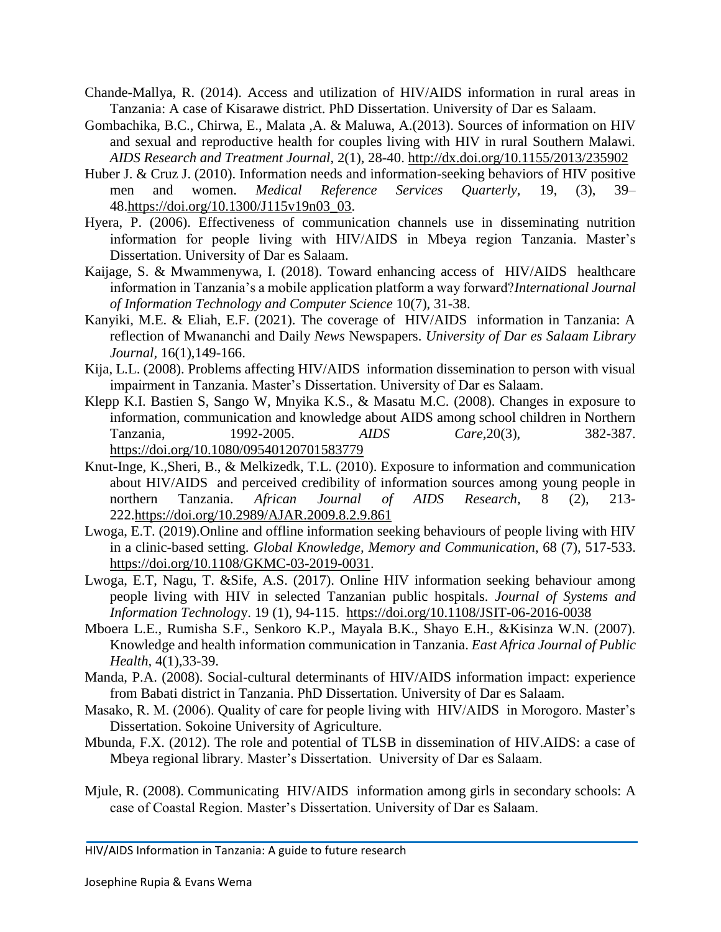- Chande-Mallya, R. (2014). Access and utilization of HIV/AIDS information in rural areas in Tanzania: A case of Kisarawe district. PhD Dissertation. University of Dar es Salaam.
- Gombachika, B.C., Chirwa, E., Malata ,A. & Maluwa, A.(2013). Sources of information on HIV and sexual and reproductive health for couples living with HIV in rural Southern Malawi. *AIDS Research and Treatment Journal*, 2(1), 28-40.<http://dx.doi.org/10.1155/2013/235902>
- Huber J. & Cruz J. (2010). Information needs and information-seeking behaviors of HIV positive men and women. *Medical Reference Services Quarterly,* 19, (3), 39– 48[.https://doi.org/10.1300/J115v19n03\\_03.](https://doi.org/10.1300/J115v19n03_03)
- Hyera, P. (2006). Effectiveness of communication channels use in disseminating nutrition information for people living with HIV/AIDS in Mbeya region Tanzania. Master's Dissertation. University of Dar es Salaam.
- Kaijage, S. & Mwammenywa, I. (2018). Toward enhancing access of HIV/AIDS healthcare information in Tanzania's a mobile application platform a way forward?*[International](https://www.researchgate.net/journal/International-Journal-of-Information-Technology-and-Computer-Science-2074-9015) Journal of [Information](https://www.researchgate.net/journal/International-Journal-of-Information-Technology-and-Computer-Science-2074-9015) Technology and Computer Science* 10(7), 31-38.
- Kanyiki, M.E. & Eliah, E.F. (2021). The coverage of HIV/AIDS information in Tanzania: A reflection of Mwananchi and Daily *News* Newspapers. *University of Dar es Salaam Library Journal,* 16(1),149-166.
- Kija, L.L. (2008). Problems affecting HIV/AIDS information dissemination to person with visual impairment in Tanzania. Master's Dissertation. University of Dar es Salaam.
- Klepp K.I. Bastien S, Sango W, Mnyika K.S., & Masatu M.C. (2008). Changes in exposure to information, communication and knowledge about AIDS among school children in Northern Tanzania, 1992-2005. *AIDS Care,*20(3), 382-387. <https://doi.org/10.1080/09540120701583779>
- Knut-Inge, K.,Sheri, B., & Melkizedk, T.L. (2010). Exposure to information and communication about HIV/AIDS and perceived credibility of information sources among young people in northern Tanzania. *African Journal of AIDS Research*, 8 (2), 213- 222[.https://doi.org/10.2989/AJAR.2009.8.2.9.861](https://doi.org/10.2989/AJAR.2009.8.2.9.861)
- Lwoga, E.T. (2019).Online and offline information seeking behaviours of people living with HIV in a clinic-based setting. *Global Knowledge, Memory and Communication*, 68 (7), 517-533. [https://doi.org/10.1108/GKMC-03-2019-0031.](https://doi.org/10.1108/GKMC-03-2019-0031)
- Lwoga, E.T, Nagu, T. &Sife, A.S. (2017). Online HIV information seeking behaviour among people living with HIV in selected Tanzanian public hospitals. *Journal of Systems and Information Technolog*y. 19 (1), 94-115. <https://doi.org/10.1108/JSIT-06-2016-0038>
- Mboera L.E., Rumisha S.F., Senkoro K.P., Mayala B.K., Shayo E.H., &Kisinza W.N. (2007). Knowledge and health information communication in Tanzania. *East Africa Journal of Public Health,* 4(1),33-39.
- Manda, P.A. (2008). Social-cultural determinants of HIV/AIDS information impact: experience from Babati district in Tanzania. PhD Dissertation. University of Dar es Salaam.
- Masako, R. M. (2006). Quality of care for people living with HIV/AIDS in Morogoro. Master's Dissertation. Sokoine University of Agriculture.
- Mbunda, F.X. (2012). The role and potential of TLSB in dissemination of HIV.AIDS: a case of Mbeya regional library. Master's Dissertation. University of Dar es Salaam.
- Mjule, R. (2008). Communicating HIV/AIDS information among girls in secondary schools: A case of Coastal Region. Master's Dissertation. University of Dar es Salaam.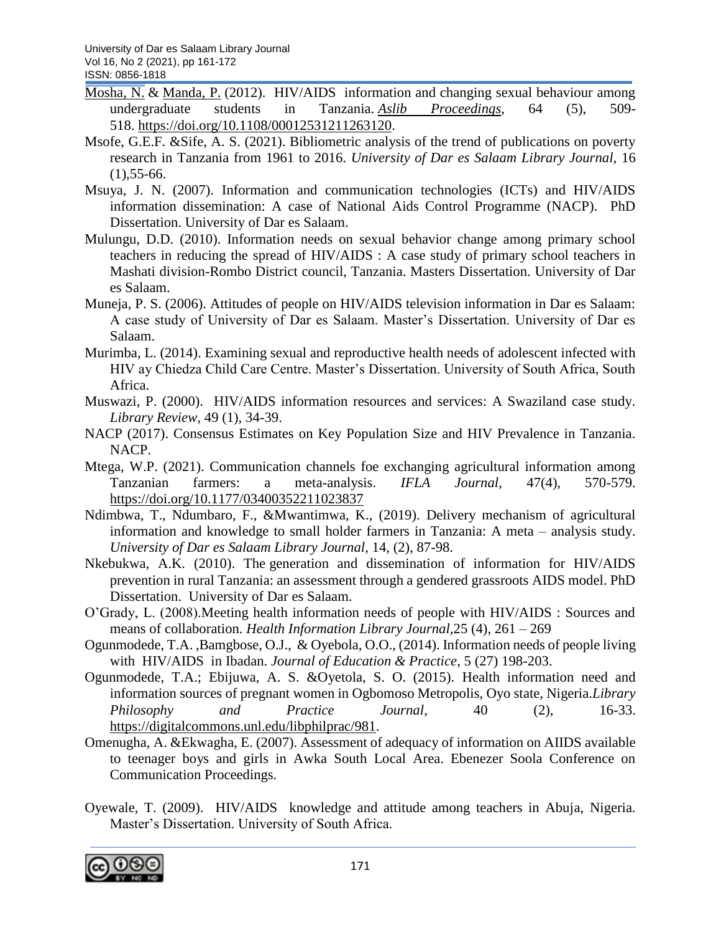- [Mosha, N.](https://www.emerald.com/insight/search?q=Neema%20Florence%20Mosha) & [Manda, P.](https://www.emerald.com/insight/search?q=Paul%20Manda) (2012). HIV/AIDS information and changing sexual behaviour among undergraduate students in Tanzania. *[Aslib Proceedings](https://www.emerald.com/insight/publication/issn/0001-253X)*, 64 (5), 509- 518. [https://doi.org/10.1108/00012531211263120.](https://doi.org/10.1108/00012531211263120)
- Msofe, G.E.F. &Sife, A. S. (2021). Bibliometric analysis of the trend of publications on poverty research in Tanzania from 1961 to 2016. *University of Dar es Salaam Library Journal,* 16  $(1)$ , 55-66.
- Msuya, J. N. (2007). Information and communication technologies (ICTs) and HIV/AIDS information dissemination: A case of National Aids Control Programme (NACP). PhD Dissertation. University of Dar es Salaam.
- Mulungu, D.D. (2010). Information needs on sexual behavior change among primary school teachers in reducing the spread of HIV/AIDS : A case study of primary school teachers in Mashati division-Rombo District council, Tanzania. Masters Dissertation. University of Dar es Salaam.
- Muneja, P. S. (2006). Attitudes of people on HIV/AIDS television information in Dar es Salaam: A case study of University of Dar es Salaam. Master's Dissertation. University of Dar es Salaam.
- Murimba, L. (2014). Examining sexual and reproductive health needs of adolescent infected with HIV ay Chiedza Child Care Centre. Master's Dissertation. University of South Africa, South Africa.
- Muswazi, P. (2000). HIV/AIDS information resources and services: A Swaziland case study. *Library Review,* 49 (1), 34-39.
- NACP (2017). Consensus Estimates on Key Population Size and HIV Prevalence in Tanzania. NACP.
- Mtega, W.P. (2021). Communication channels foe exchanging agricultural information among Tanzanian farmers: a meta-analysis. *IFLA Journal,* 47(4), 570-579. <https://doi.org/10.1177/03400352211023837>
- Ndimbwa, T., Ndumbaro, F., &Mwantimwa, K., (2019). Delivery mechanism of agricultural information and knowledge to small holder farmers in Tanzania: A meta – analysis study. *University of Dar es Salaam Library Journal*, 14, (2), 87-98.
- Nkebukwa, A.K. (2010). The generation and dissemination of information for HIV/AIDS prevention in rural Tanzania: an assessment through a gendered grassroots AIDS model. PhD Dissertation. University of Dar es Salaam.
- O'Grady, L. (2008).Meeting health information needs of people with HIV/AIDS : Sources and means of collaboration. *Health Information Library Journal,*25 (4), 261 – 269
- Ogunmodede, T.A. ,Bamgbose, O.J., & Oyebola, O.O., (2014). Information needs of people living with HIV/AIDS in Ibadan. *Journal of Education & Practice*, 5 (27) 198-203.
- Ogunmodede, T.A.; Ebijuwa, A. S. &Oyetola, S. O. (2015). Health information need and information sources of pregnant women in Ogbomoso Metropolis, Oyo state, Nigeria.*Library Philosophy and Practice Journal*, 40 (2), 16-33. [https://digitalcommons.unl.edu/libphilprac/981.](https://digitalcommons.unl.edu/libphilprac/981)
- Omenugha, A. &Ekwagha, E. (2007). Assessment of adequacy of information on AIIDS available to teenager boys and girls in Awka South Local Area. Ebenezer Soola Conference on Communication Proceedings.
- Oyewale, T. (2009). HIV/AIDS knowledge and attitude among teachers in Abuja, Nigeria. Master's Dissertation. University of South Africa.